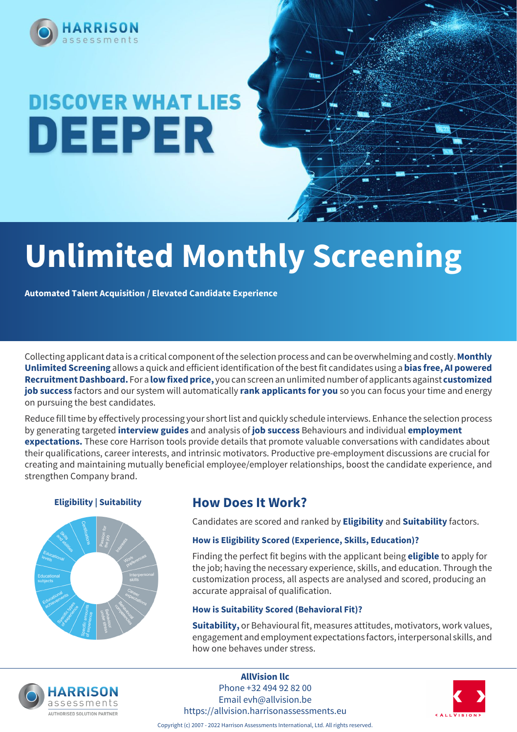

# **DISCOVER WHAT LIES** DEEPER

# **Unlimited Monthly Screening**

**Automated Talent Acquisition / Elevated Candidate Experience**

Collecting applicant data is a critical component of the selection process and can be overwhelming and costly. **Monthly Unlimited Screening** allows a quick and efficient identification of the best fit candidates using a **bias free, AI powered Recruitment Dashboard.** For a **low fixed price,** you can screen an unlimited number of applicants against **customized job success** factors and our system will automatically **rank applicants for you** so you can focus your time and energy on pursuing the best candidates.

Reduce fill time by effectively processing your short list and quickly schedule interviews. Enhance the selection process by generating targeted **interview guides** and analysis of **job success** Behaviours and individual **employment expectations.** These core Harrison tools provide details that promote valuable conversations with candidates about their qualifications, career interests, and intrinsic motivators. Productive pre-employment discussions are crucial for creating and maintaining mutually beneficial employee/employer relationships, boost the candidate experience, and strengthen Company brand.



### **Eligibility | Suitability | How Does It Work?**

Candidates are scored and ranked by **Eligibility** and **Suitability** factors.

### **How is Eligibility Scored (Experience, Skills, Education)?**

Finding the perfect fit begins with the applicant being **eligible** to apply for the job; having the necessary experience, skills, and education. Through the customization process, all aspects are analysed and scored, producing an accurate appraisal of qualification.

### **How is Suitability Scored (Behavioral Fit)?**

**Suitability,** or Behavioural fit, measures attitudes, motivators, work values, engagement and employment expectations factors, interpersonal skills, and how one behaves under stress.



**AllVision llc** Phone +32 494 92 82 00 Email evh@allvision.be https://allvision.harrisonassessments.eu



Copyright (c) 2007 - 2022 Harrison Assessments International, Ltd. All rights reserved.